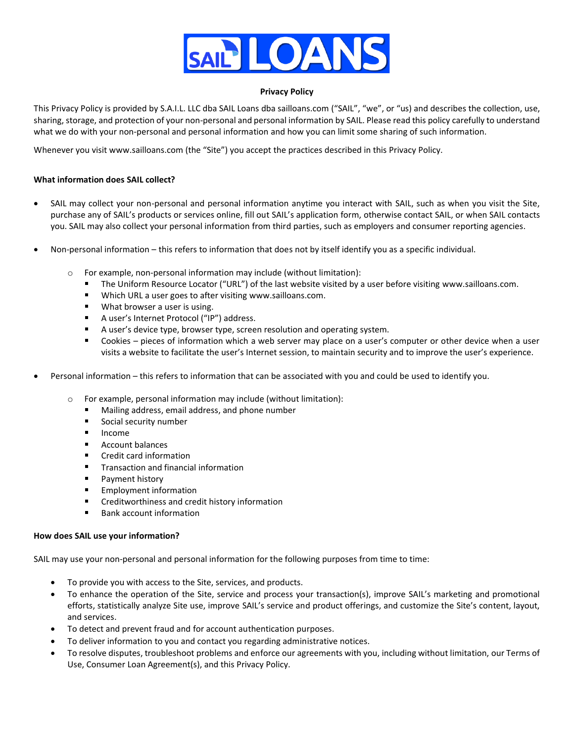

#### **Privacy Policy**

This Privacy Policy is provided by S.A.I.L. LLC dba SAIL Loans dba sailloans.com ("SAIL", "we", or "us) and describes the collection, use, sharing, storage, and protection of your non-personal and personal information by SAIL. Please read this policy carefully to understand what we do with your non-personal and personal information and how you can limit some sharing of such information.

Whenever you visit www.sailloans.com (the "Site") you accept the practices described in this Privacy Policy.

#### **What information does SAIL collect?**

- SAIL may collect your non-personal and personal information anytime you interact with SAIL, such as when you visit the Site, purchase any of SAIL's products or services online, fill out SAIL's application form, otherwise contact SAIL, or when SAIL contacts you. SAIL may also collect your personal information from third parties, such as employers and consumer reporting agencies.
- Non-personal information this refers to information that does not by itself identify you as a specific individual.
	- o For example, non-personal information may include (without limitation):
		- The Uniform Resource Locator ("URL") of the last website visited by a user before visiting www.sailloans.com.
		- Which URL a user goes to after visiting www.sailloans.com.
		- $\blacksquare$ What browser a user is using.
		- A user's Internet Protocol ("IP") address.
		- A user's device type, browser type, screen resolution and operating system.
		- Cookies pieces of information which a web server may place on a user's computer or other device when a user visits a website to facilitate the user's Internet session, to maintain security and to improve the user's experience.
- Personal information this refers to information that can be associated with you and could be used to identify you.
	- o For example, personal information may include (without limitation):
		- Mailing address, email address, and phone number
		- $\blacksquare$ Social security number
		- $\blacksquare$ Income
		- $\blacksquare$ Account balances
		- Credit card information
		- $\blacksquare$ Transaction and financial information
		- Payment history
		- Employment information
		- $\blacksquare$ Creditworthiness and credit history information
		- Bank account information

#### **How does SAIL use your information?**

SAIL may use your non-personal and personal information for the following purposes from time to time:

- To provide you with access to the Site, services, and products.
- To enhance the operation of the Site, service and process your transaction(s), improve SAIL's marketing and promotional efforts, statistically analyze Site use, improve SAIL's service and product offerings, and customize the Site's content, layout, and services.
- To detect and prevent fraud and for account authentication purposes.
- To deliver information to you and contact you regarding administrative notices.
- To resolve disputes, troubleshoot problems and enforce our agreements with you, including without limitation, our Terms of Use, Consumer Loan Agreement(s), and this Privacy Policy.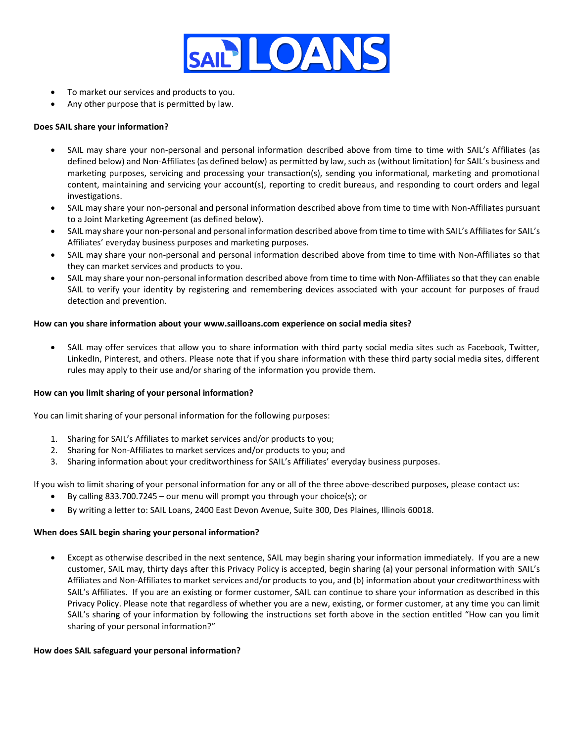

- To market our services and products to you.
- Any other purpose that is permitted by law.

# **Does SAIL share your information?**

- SAIL may share your non-personal and personal information described above from time to time with SAIL's Affiliates (as defined below) and Non-Affiliates (as defined below) as permitted by law, such as (without limitation) for SAIL's business and marketing purposes, servicing and processing your transaction(s), sending you informational, marketing and promotional content, maintaining and servicing your account(s), reporting to credit bureaus, and responding to court orders and legal investigations.
- SAIL may share your non-personal and personal information described above from time to time with Non-Affiliates pursuant to a Joint Marketing Agreement (as defined below).
- SAIL may share your non-personal and personal information described above from time to time with SAIL's Affiliates for SAIL's Affiliates' everyday business purposes and marketing purposes.
- SAIL may share your non-personal and personal information described above from time to time with Non-Affiliates so that they can market services and products to you.
- SAIL may share your non-personal information described above from time to time with Non-Affiliates so that they can enable SAIL to verify your identity by registering and remembering devices associated with your account for purposes of fraud detection and prevention.

## **How can you share information about your www.sailloans.com experience on social media sites?**

• SAIL may offer services that allow you to share information with third party social media sites such as Facebook, Twitter, LinkedIn, Pinterest, and others. Please note that if you share information with these third party social media sites, different rules may apply to their use and/or sharing of the information you provide them.

## **How can you limit sharing of your personal information?**

You can limit sharing of your personal information for the following purposes:

- 1. Sharing for SAIL's Affiliates to market services and/or products to you;
- 2. Sharing for Non-Affiliates to market services and/or products to you; and
- 3. Sharing information about your creditworthiness for SAIL's Affiliates' everyday business purposes.

If you wish to limit sharing of your personal information for any or all of the three above-described purposes, please contact us:

- By calling 833.700.7245 our menu will prompt you through your choice(s); or
- By writing a letter to: SAIL Loans, 2400 East Devon Avenue, Suite 300, Des Plaines, Illinois 60018.

## **When does SAIL begin sharing your personal information?**

• Except as otherwise described in the next sentence, SAIL may begin sharing your information immediately. If you are a new customer, SAIL may, thirty days after this Privacy Policy is accepted, begin sharing (a) your personal information with SAIL's Affiliates and Non-Affiliates to market services and/or products to you, and (b) information about your creditworthiness with SAIL's Affiliates. If you are an existing or former customer, SAIL can continue to share your information as described in this Privacy Policy. Please note that regardless of whether you are a new, existing, or former customer, at any time you can limit SAIL's sharing of your information by following the instructions set forth above in the section entitled "How can you limit sharing of your personal information?"

#### **How does SAIL safeguard your personal information?**